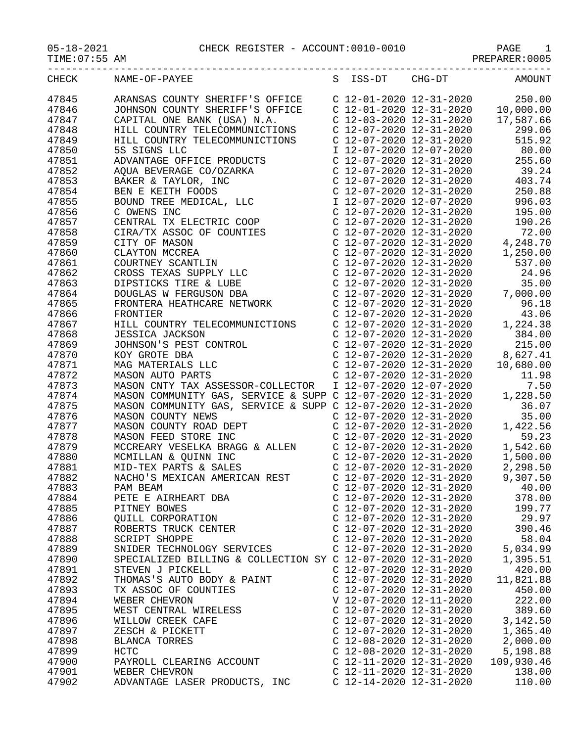05-18-2021 CHECK REGISTER - ACCOUNT:0010-0010 PAGE 1

| $05 - 18 - 2021$ |  |  |  |  |  |  |
|------------------|--|--|--|--|--|--|
|------------------|--|--|--|--|--|--|

| ------------     | --------------------- | --------------------- | ---------                         |
|------------------|-----------------------|-----------------------|-----------------------------------|
| TIME:07:55<br>AΜ |                       |                       | ) 0 0 5<br>PRFPAR<br>------------ |
|                  |                       |                       |                                   |

| <b>CHECK</b>   | NAME-OF-PAYEE                                                                                                                                                                                                                                                | S | ISS-DT                    | CHG-DT                                                                                                     | AMOUNT                                                                                                                                                                                                       |
|----------------|--------------------------------------------------------------------------------------------------------------------------------------------------------------------------------------------------------------------------------------------------------------|---|---------------------------|------------------------------------------------------------------------------------------------------------|--------------------------------------------------------------------------------------------------------------------------------------------------------------------------------------------------------------|
| 47845          | ARANSAS COUNTY SHERIFF'S OFFICE                                                                                                                                                                                                                              |   |                           |                                                                                                            | 250.00<br>$\begin{array}{cccc} \text{C} & 12\text{-}01\text{-}2020 & 12\text{-}31\text{-}2020 & & 250.00 \\ \text{C} & 12\text{-}01\text{-}2020 & 12\text{-}31\text{-}2020 & & 10\text{,}000.00 \end{array}$ |
| 47846          | JOHNSON COUNTY SHERIFF'S OFFICE                                                                                                                                                                                                                              |   |                           |                                                                                                            |                                                                                                                                                                                                              |
| 47847          | CAPITAL ONE BANK (USA) N.A.                                                                                                                                                                                                                                  |   |                           | $C$ 12-03-2020 12-31-2020                                                                                  | 17,587.66                                                                                                                                                                                                    |
| 47848          | HILL COUNTRY TELECOMMUNICTIONS                                                                                                                                                                                                                               |   | $C$ 12-07-2020 12-31-2020 |                                                                                                            | 299.06                                                                                                                                                                                                       |
| 47849          | HILL COUNTRY TELECOMMUNICTIONS                                                                                                                                                                                                                               |   |                           | C 12-07-2020 12-31-2020                                                                                    | 515.92                                                                                                                                                                                                       |
| 47850          | 5S SIGNS LLC                                                                                                                                                                                                                                                 |   |                           |                                                                                                            | I 12-07-2020 12-07-2020 80.00                                                                                                                                                                                |
| 47851          | ADVANTAGE OFFICE PRODUCTS                                                                                                                                                                                                                                    |   | $C$ 12-07-2020 12-31-2020 |                                                                                                            | 255.60                                                                                                                                                                                                       |
| 47852          |                                                                                                                                                                                                                                                              |   |                           | $C$ 12-07-2020 12-31-2020                                                                                  |                                                                                                                                                                                                              |
| 47853          |                                                                                                                                                                                                                                                              |   | $C$ 12-07-2020 12-31-2020 |                                                                                                            | $39.24$<br>$402$                                                                                                                                                                                             |
|                |                                                                                                                                                                                                                                                              |   |                           | C 12-07-2020 12-31-2020                                                                                    | 250.88                                                                                                                                                                                                       |
| 47854<br>47855 | AQUA BEVERAGE CO/OZARKA<br>BAKER & TAYLOR, INC<br>BEN E KEITH FOODS<br>BOUND TREE MEDICAL, LLC<br>C OWENS INC                                                                                                                                                |   |                           | I 12-07-2020 12-07-2020                                                                                    |                                                                                                                                                                                                              |
|                |                                                                                                                                                                                                                                                              |   |                           |                                                                                                            | 996.03                                                                                                                                                                                                       |
| 47856          |                                                                                                                                                                                                                                                              |   |                           | C 12-07-2020 12-31-2020                                                                                    | 195.00                                                                                                                                                                                                       |
| 47857          |                                                                                                                                                                                                                                                              |   |                           | C 12-07-2020 12-31-2020                                                                                    | 190.26                                                                                                                                                                                                       |
| 47858          |                                                                                                                                                                                                                                                              |   |                           | $C$ 12-07-2020 12-31-2020<br>C 12-07-2020 12-31-2020<br>C 12-07-2020 12-31-2020<br>C 12-07-2020 12-31-2020 | 72.00                                                                                                                                                                                                        |
| 47859          |                                                                                                                                                                                                                                                              |   |                           |                                                                                                            | 4,248.70                                                                                                                                                                                                     |
| 47860          |                                                                                                                                                                                                                                                              |   |                           |                                                                                                            | 1,250.00                                                                                                                                                                                                     |
| 47861          |                                                                                                                                                                                                                                                              |   | $C$ 12-07-2020 12-31-2020 |                                                                                                            | 537.00                                                                                                                                                                                                       |
| 47862          |                                                                                                                                                                                                                                                              |   | C 12-07-2020 12-31-2020   |                                                                                                            | 24.96                                                                                                                                                                                                        |
| 47863          |                                                                                                                                                                                                                                                              |   | $C$ 12-07-2020 12-31-2020 |                                                                                                            | 35.00                                                                                                                                                                                                        |
| 47864          |                                                                                                                                                                                                                                                              |   | $C$ 12-07-2020 12-31-2020 |                                                                                                            | 7,000.00                                                                                                                                                                                                     |
| 47865          | C OWENS INC<br>CENTRAL TX ELECTRIC COOP<br>CIRA/TX ASSOC OF COUNTIES<br>CITY OF MASON<br>CLAYTON MCCREA<br>COURTNEY SCANTLIN<br>CROSS TEXAS SUPPLY LLC<br>DIPSTICKS TIRE & LUBE<br>DOUGLAS W FERGUSON DBA<br>FRONTERA HEATHCARE NETWORK<br>FRONTERA HEATHCAR |   | $C$ 12-07-2020 12-31-2020 |                                                                                                            | 96.18                                                                                                                                                                                                        |
| 47866          | FRONTIER                                                                                                                                                                                                                                                     |   |                           | C 12-07-2020 12-31-2020                                                                                    | 43.06                                                                                                                                                                                                        |
| 47867          | HILL COUNTRY TELECOMMUNICTIONS                                                                                                                                                                                                                               |   | C 12-07-2020 12-31-2020   |                                                                                                            | 1,224.38                                                                                                                                                                                                     |
| 47868          |                                                                                                                                                                                                                                                              |   | $C$ 12-07-2020 12-31-2020 |                                                                                                            | 384.00                                                                                                                                                                                                       |
| 47869          |                                                                                                                                                                                                                                                              |   |                           | $C$ 12-07-2020 12-31-2020                                                                                  | 215.00                                                                                                                                                                                                       |
| 47870          |                                                                                                                                                                                                                                                              |   |                           | $C$ 12-07-2020 12-31-2020                                                                                  | 8,627.41                                                                                                                                                                                                     |
| 47871          |                                                                                                                                                                                                                                                              |   |                           | C 12-07-2020 12-31-2020                                                                                    | 10,680.00                                                                                                                                                                                                    |
| 47872          | JESSICA JACKSON<br>JOHNSON'S PEST CONTROL<br>KOY GROTE DBA<br>MAG MATERIALS LLC<br>MASON AUTO PARTS                                                                                                                                                          |   | C 12-07-2020 12-31-2020   |                                                                                                            | 11.98                                                                                                                                                                                                        |
| 47873          | MASON CNTY TAX ASSESSOR-COLLECTOR                                                                                                                                                                                                                            |   | I 12-07-2020 12-07-2020   |                                                                                                            | 7.50                                                                                                                                                                                                         |
| 47874          | MASON COMMUNITY GAS, SERVICE & SUPP C 12-07-2020 12-31-2020                                                                                                                                                                                                  |   |                           |                                                                                                            | 1,228.50                                                                                                                                                                                                     |
| 47875          | MASON COMMUNITY GAS, SERVICE & SUPP C 12-07-2020 12-31-2020                                                                                                                                                                                                  |   |                           |                                                                                                            | 36.07                                                                                                                                                                                                        |
| 47876          |                                                                                                                                                                                                                                                              |   | $C$ 12-07-2020 12-31-2020 |                                                                                                            | 35.00                                                                                                                                                                                                        |
| 47877          | MASON COUNTY NEWS<br>MASON COUNTY ROAD DEPT<br>MASON EEED CHOOL TILE                                                                                                                                                                                         |   |                           | C 12-07-2020 12-31-2020                                                                                    | 1,422.56                                                                                                                                                                                                     |
| 47878          | MASON FEED STORE INC                                                                                                                                                                                                                                         |   | C 12-07-2020 12-31-2020   |                                                                                                            | 59.23                                                                                                                                                                                                        |
| 47879          | MCCREARY VESELKA BRAGG & ALLEN                                                                                                                                                                                                                               |   |                           | C 12-07-2020 12-31-2020<br>C 12-07-2020 12-31-2020<br>C 12-07-2020 12-31-2020<br>C 12-07-2020 12-31-2020   | 1,542.60                                                                                                                                                                                                     |
| 47880          |                                                                                                                                                                                                                                                              |   |                           |                                                                                                            | 1,500.00                                                                                                                                                                                                     |
| 47881          | MCMILLAN & QUINN INC<br>MID-TEX PARTS & SALES                                                                                                                                                                                                                |   |                           |                                                                                                            | 2,298.50                                                                                                                                                                                                     |
| 47882          | NACHO'S MEXICAN AMERICAN REST                                                                                                                                                                                                                                |   |                           |                                                                                                            | 9,307.50                                                                                                                                                                                                     |
| 47883          | PAM BEAM                                                                                                                                                                                                                                                     |   | $C$ 12-07-2020 12-31-2020 |                                                                                                            | 40.00                                                                                                                                                                                                        |
| 47884          | PETE E AIRHEART DBA                                                                                                                                                                                                                                          |   | $C$ 12-07-2020 12-31-2020 |                                                                                                            | 378.00                                                                                                                                                                                                       |
| 47885          | PITNEY BOWES                                                                                                                                                                                                                                                 |   | $C$ 12-07-2020 12-31-2020 |                                                                                                            | 199.77                                                                                                                                                                                                       |
| 47886          | <b>OUILL CORPORATION</b>                                                                                                                                                                                                                                     |   | $C$ 12-07-2020 12-31-2020 |                                                                                                            | 29.97                                                                                                                                                                                                        |
| 47887          | ROBERTS TRUCK CENTER                                                                                                                                                                                                                                         |   | C 12-07-2020 12-31-2020   |                                                                                                            | 390.46                                                                                                                                                                                                       |
| 47888          | <b>SCRIPT SHOPPE</b>                                                                                                                                                                                                                                         |   | C 12-07-2020 12-31-2020   |                                                                                                            | 58.04                                                                                                                                                                                                        |
| 47889          | SNIDER TECHNOLOGY SERVICES                                                                                                                                                                                                                                   |   | $C$ 12-07-2020 12-31-2020 |                                                                                                            | 5,034.99                                                                                                                                                                                                     |
| 47890          | SPECIALIZED BILLING & COLLECTION SY C 12-07-2020 12-31-2020                                                                                                                                                                                                  |   |                           |                                                                                                            |                                                                                                                                                                                                              |
| 47891          | STEVEN J PICKELL                                                                                                                                                                                                                                             |   | $C$ 12-07-2020 12-31-2020 |                                                                                                            | 1,395.51<br>420.00                                                                                                                                                                                           |
|                |                                                                                                                                                                                                                                                              |   | C 12-07-2020 12-31-2020   |                                                                                                            |                                                                                                                                                                                                              |
| 47892          | THOMAS'S AUTO BODY & PAINT                                                                                                                                                                                                                                   |   |                           |                                                                                                            | 11,821.88                                                                                                                                                                                                    |
| 47893          | TX ASSOC OF COUNTIES                                                                                                                                                                                                                                         |   | C 12-07-2020 12-31-2020   |                                                                                                            | 450.00                                                                                                                                                                                                       |
| 47894          | WEBER CHEVRON                                                                                                                                                                                                                                                |   | V 12-07-2020 12-11-2020   |                                                                                                            | 222.00                                                                                                                                                                                                       |
| 47895          | WEST CENTRAL WIRELESS                                                                                                                                                                                                                                        |   | C 12-07-2020 12-31-2020   |                                                                                                            | 389.60                                                                                                                                                                                                       |
| 47896          | WILLOW CREEK CAFE                                                                                                                                                                                                                                            |   | $C$ 12-07-2020 12-31-2020 |                                                                                                            | 3,142.50                                                                                                                                                                                                     |
| 47897          | ZESCH & PICKETT                                                                                                                                                                                                                                              |   | C 12-07-2020 12-31-2020   |                                                                                                            | 1,365.40                                                                                                                                                                                                     |
| 47898          | BLANCA TORRES                                                                                                                                                                                                                                                |   | C 12-08-2020 12-31-2020   |                                                                                                            | 2,000.00                                                                                                                                                                                                     |
| 47899          | HCTC                                                                                                                                                                                                                                                         |   | $C$ 12-08-2020 12-31-2020 |                                                                                                            | 5,198.88                                                                                                                                                                                                     |
| 47900          | PAYROLL CLEARING ACCOUNT                                                                                                                                                                                                                                     |   | C 12-11-2020 12-31-2020   |                                                                                                            | 109,930.46                                                                                                                                                                                                   |
| 47901          | WEBER CHEVRON                                                                                                                                                                                                                                                |   | C 12-11-2020 12-31-2020   |                                                                                                            | 138.00                                                                                                                                                                                                       |
| 47902          | ADVANTAGE LASER PRODUCTS, INC                                                                                                                                                                                                                                |   | C 12-14-2020 12-31-2020   |                                                                                                            | 110.00                                                                                                                                                                                                       |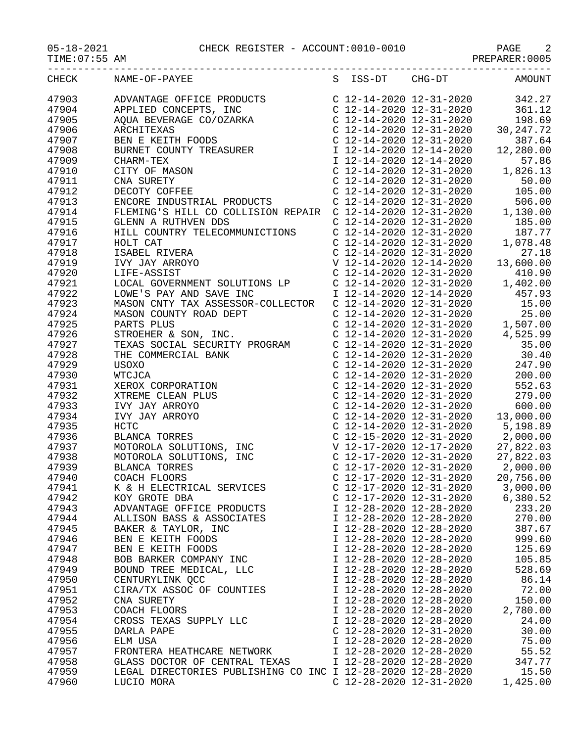## 05-18-2021 CHECK REGISTER - ACCOUNT:0010-0010 PAGE 2

PREPARER:0005

| CHECK          | S ISS-DT CHG-DT AMOUNT<br>NAME-OF-PAYEE                     |                             |                           |          |
|----------------|-------------------------------------------------------------|-----------------------------|---------------------------|----------|
| 47903          |                                                             |                             |                           |          |
| 47904          |                                                             |                             |                           |          |
| 47905          |                                                             |                             |                           |          |
| 47906          |                                                             |                             |                           |          |
| 47907          |                                                             |                             |                           |          |
| 47908          |                                                             |                             |                           |          |
| 47909          |                                                             |                             |                           |          |
| 47910          |                                                             |                             |                           |          |
| 47911          |                                                             |                             |                           |          |
| 47912          |                                                             |                             |                           |          |
| 47913          |                                                             |                             |                           |          |
|                |                                                             |                             |                           |          |
| 47914<br>47915 |                                                             |                             |                           |          |
|                |                                                             |                             |                           |          |
| 47916          |                                                             |                             |                           |          |
| 47917          |                                                             |                             |                           |          |
| 47918          |                                                             |                             |                           |          |
| 47919          |                                                             |                             |                           |          |
| 47920          |                                                             |                             |                           |          |
| 47921          |                                                             |                             |                           |          |
| 47922          |                                                             |                             |                           |          |
| 47923          |                                                             |                             |                           |          |
| 47924          |                                                             |                             |                           |          |
| 47925          |                                                             |                             |                           |          |
| 47926          |                                                             |                             |                           |          |
| 47927          |                                                             |                             |                           |          |
| 47928          |                                                             |                             |                           |          |
| 47929          |                                                             |                             |                           |          |
| 47930          |                                                             |                             |                           |          |
| 47931          |                                                             |                             |                           |          |
| 47932          |                                                             |                             |                           |          |
| 47933          |                                                             |                             |                           |          |
| 47934          |                                                             |                             |                           |          |
| 47935          |                                                             |                             |                           |          |
| 47936          |                                                             |                             |                           |          |
| 47937          |                                                             |                             |                           |          |
| 47938          |                                                             |                             |                           |          |
| 47939          |                                                             |                             |                           |          |
| 47940          |                                                             |                             |                           |          |
| 47941          | K & H ELECTRICAL SERVICES                                   | C $12-17-2020$ $12-31-2020$ |                           | 3,000.00 |
| 47942          | KOY GROTE DBA                                               | C 12-17-2020 12-31-2020     |                           | 6,380.52 |
| 47943          | ADVANTAGE OFFICE PRODUCTS                                   | I 12-28-2020 12-28-2020     |                           | 233.20   |
| 47944          | ALLISON BASS & ASSOCIATES                                   | I 12-28-2020 12-28-2020     | I 12-28-2020 12-28-2020   | 270.00   |
| 47945          | BAKER & TAYLOR, INC                                         |                             |                           | 387.67   |
| 47946          | BEN E KEITH FOODS                                           | I 12-28-2020 12-28-2020     |                           | 999.60   |
| 47947          | BEN E KEITH FOODS                                           | I 12-28-2020 12-28-2020     |                           | 125.69   |
| 47948          | BOB BARKER COMPANY INC                                      | I 12-28-2020 12-28-2020     |                           | 105.85   |
| 47949          | BOUND TREE MEDICAL, LLC                                     | I 12-28-2020 12-28-2020     |                           | 528.69   |
| 47950          | CENTURYLINK QCC                                             | I 12-28-2020 12-28-2020     |                           | 86.14    |
| 47951          | CIRA/TX ASSOC OF COUNTIES                                   | I 12-28-2020 12-28-2020     |                           | 72.00    |
| 47952          | CNA SURETY                                                  | I 12-28-2020 12-28-2020     |                           | 150.00   |
| 47953          | COACH FLOORS                                                | I 12-28-2020 12-28-2020     |                           | 2,780.00 |
| 47954          | CROSS TEXAS SUPPLY LLC                                      | I 12-28-2020 12-28-2020     |                           | 24.00    |
| 47955          | DARLA PAPE                                                  | $C$ 12-28-2020 12-31-2020   |                           | 30.00    |
| 47956          | ELM USA                                                     | I 12-28-2020 12-28-2020     |                           | 75.00    |
| 47957          | FRONTERA HEATHCARE NETWORK                                  | I 12-28-2020 12-28-2020     |                           | 55.52    |
| 47958          | GLASS DOCTOR OF CENTRAL TEXAS                               | I 12-28-2020 12-28-2020     |                           | 347.77   |
| 47959          | LEGAL DIRECTORIES PUBLISHING CO INC I 12-28-2020 12-28-2020 |                             |                           | 15.50    |
| 47960          | LUCIO MORA                                                  |                             | $C$ 12-28-2020 12-31-2020 | 1,425.00 |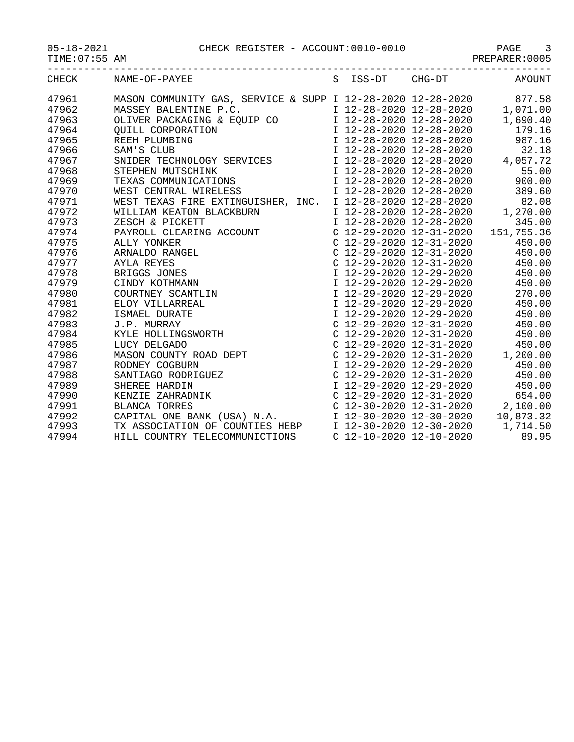05-18-2021 CHECK REGISTER - ACCOUNT:0010-0010 PAGE 3

|  | $05 - 18 - 2021$ |  |
|--|------------------|--|
|  |                  |  |

TIME:07:55 AM PREPARER:0005

-----------------------------------------------------------------------------------

| <b>CHECK</b> | NAME-OF-PAYEE                                                                                                                                                                                                                                        |  | S ISS-DT CHG-DT | <b>AMOUNT</b> |
|--------------|------------------------------------------------------------------------------------------------------------------------------------------------------------------------------------------------------------------------------------------------------|--|-----------------|---------------|
| 47961        | MASON COMMUNITY GAS, SERVICE & SUPP I 12-28-2020 12-28-2020 877.58                                                                                                                                                                                   |  |                 |               |
| 47962        |                                                                                                                                                                                                                                                      |  |                 |               |
| 47963        |                                                                                                                                                                                                                                                      |  |                 |               |
| 47964        |                                                                                                                                                                                                                                                      |  |                 |               |
| 47965        |                                                                                                                                                                                                                                                      |  |                 |               |
| 47966        |                                                                                                                                                                                                                                                      |  |                 |               |
| 47967        |                                                                                                                                                                                                                                                      |  |                 |               |
| 47968        |                                                                                                                                                                                                                                                      |  |                 |               |
| 47969        |                                                                                                                                                                                                                                                      |  |                 |               |
| 47970        | WASSEY BALENTINE P.C.<br>MASSEY BALENTINE P.C.<br>CLIVER PACKAGING & EQUIP CO<br>CLIVER PACKAGING & EQUIP CO<br>CUILL CORPORATION<br>TREEH PLUMBING<br>TREEH PLUMBING<br>TREEH PLUMBING<br>TREEH PLUMBING<br>TREEH PLUMBING<br>TREEH PLUMBING<br>TRE |  |                 |               |
| 47971        | WEST TEXAS FIRE EXTINGUISHER, INC. I 12-28-2020 12-28-2020 82.08                                                                                                                                                                                     |  |                 |               |
| 47972        |                                                                                                                                                                                                                                                      |  |                 |               |
| 47973        |                                                                                                                                                                                                                                                      |  |                 |               |
| 47974        |                                                                                                                                                                                                                                                      |  |                 | 151,755.36    |
| 47975        |                                                                                                                                                                                                                                                      |  |                 | 450.00        |
| 47976        |                                                                                                                                                                                                                                                      |  |                 |               |
| 47977        |                                                                                                                                                                                                                                                      |  |                 |               |
| 47978        |                                                                                                                                                                                                                                                      |  |                 |               |
| 47979        |                                                                                                                                                                                                                                                      |  |                 |               |
| 47980        |                                                                                                                                                                                                                                                      |  |                 |               |
| 47981        |                                                                                                                                                                                                                                                      |  |                 |               |
| 47982        |                                                                                                                                                                                                                                                      |  |                 |               |
| 47983        |                                                                                                                                                                                                                                                      |  |                 | 450.00        |
| 47984        |                                                                                                                                                                                                                                                      |  |                 |               |
| 47985        |                                                                                                                                                                                                                                                      |  |                 |               |
| 47986        |                                                                                                                                                                                                                                                      |  |                 |               |
| 47987        |                                                                                                                                                                                                                                                      |  |                 | 450.00        |
| 47988        |                                                                                                                                                                                                                                                      |  |                 |               |
| 47989        |                                                                                                                                                                                                                                                      |  |                 |               |
| 47990        |                                                                                                                                                                                                                                                      |  |                 |               |
| 47991        |                                                                                                                                                                                                                                                      |  |                 |               |
| 47992        | CAPITAL ONE BANK (USA) N.A.<br>T 12-30-2020 12-30-2020 12-30-2020 10,873.32<br>TX ASSOCIATION OF COUNTIES HEBP I 12-30-2020 12-30-2020 1,714.50<br>HILL COUNTRY TELECOMMUNICTIONS C 12-10-2020 12-10-2020 89.95                                      |  |                 |               |
| 47993        |                                                                                                                                                                                                                                                      |  |                 |               |
| 47994        |                                                                                                                                                                                                                                                      |  |                 |               |